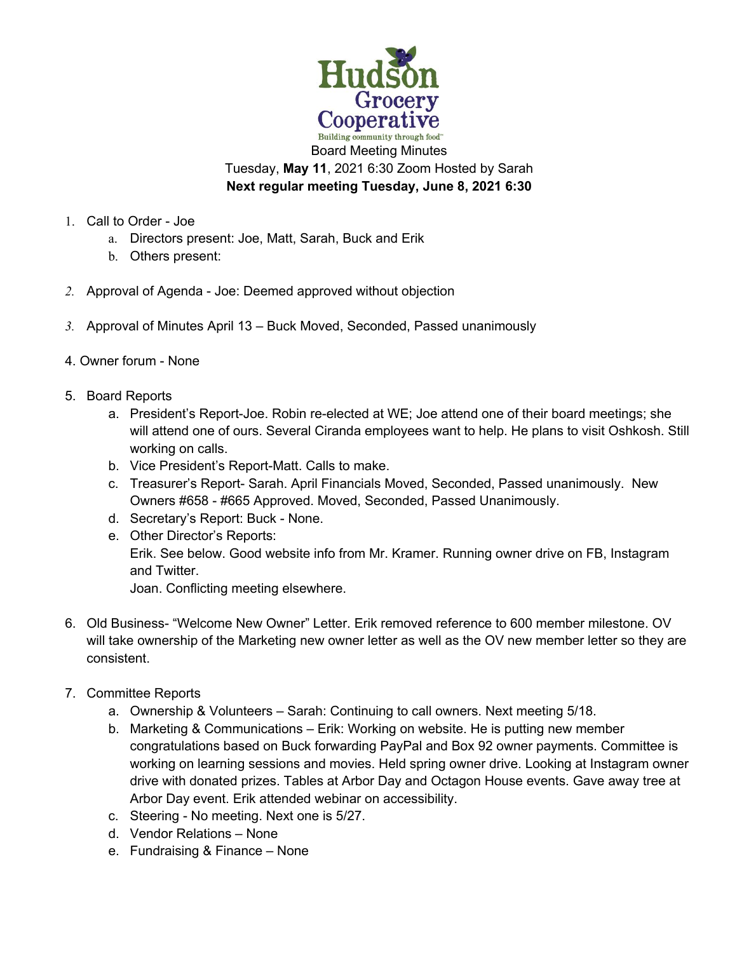

Tuesday, **May 11**, 2021 6:30 Zoom Hosted by Sarah **Next regular meeting Tuesday, June 8, 2021 6:30** 

- 1. Call to Order Joe
	- a. Directors present: Joe, Matt, Sarah, Buck and Erik
	- b. Others present:
- *2.* Approval of Agenda Joe: Deemed approved without objection
- *3.* Approval of Minutes April 13 Buck Moved, Seconded, Passed unanimously
- 4. Owner forum None
- 5. Board Reports
	- a. President's Report-Joe. Robin re-elected at WE; Joe attend one of their board meetings; she will attend one of ours. Several Ciranda employees want to help. He plans to visit Oshkosh. Still working on calls.
	- b. Vice President's Report-Matt. Calls to make.
	- c. Treasurer's Report- Sarah. April Financials Moved, Seconded, Passed unanimously. New Owners #658 - #665 Approved. Moved, Seconded, Passed Unanimously.
	- d. Secretary's Report: Buck None.
	- e. Other Director's Reports: Erik. See below. Good website info from Mr. Kramer. Running owner drive on FB, Instagram and Twitter. Joan. Conflicting meeting elsewhere.
- 6. Old Business- "Welcome New Owner" Letter. Erik removed reference to 600 member milestone. OV will take ownership of the Marketing new owner letter as well as the OV new member letter so they are consistent.
- 7. Committee Reports
	- a. Ownership & Volunteers Sarah: Continuing to call owners. Next meeting 5/18.
	- b. Marketing & Communications Erik: Working on website. He is putting new member congratulations based on Buck forwarding PayPal and Box 92 owner payments. Committee is working on learning sessions and movies. Held spring owner drive. Looking at Instagram owner drive with donated prizes. Tables at Arbor Day and Octagon House events. Gave away tree at Arbor Day event. Erik attended webinar on accessibility.
	- c. Steering No meeting. Next one is 5/27.
	- d. Vendor Relations None
	- e. Fundraising & Finance None